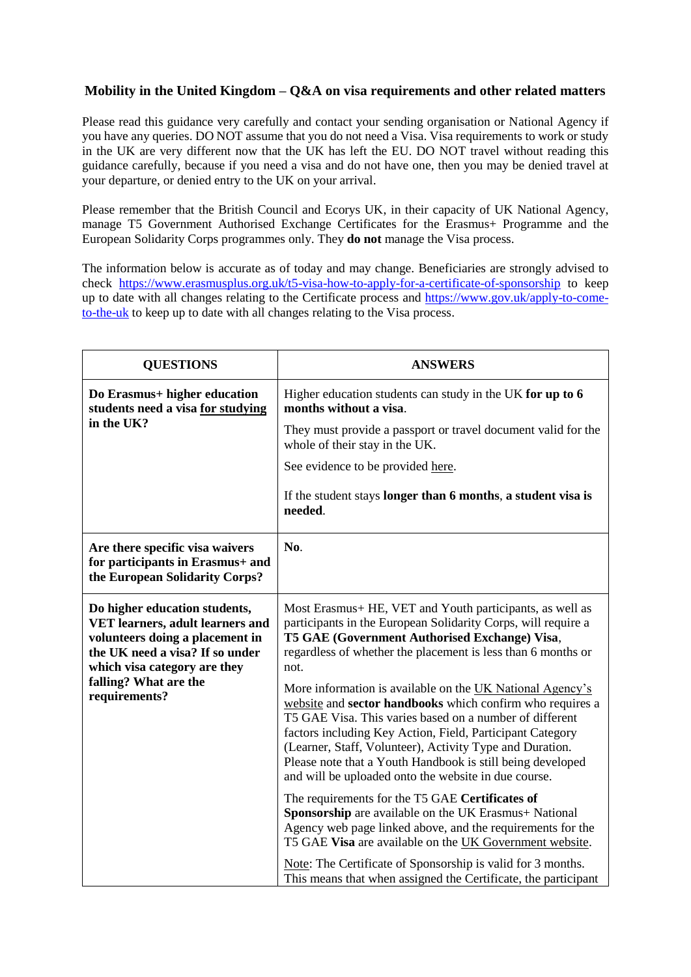## **Mobility in the United Kingdom – Q&A on visa requirements and other related matters**

Please read this guidance very carefully and contact your sending organisation or National Agency if you have any queries. DO NOT assume that you do not need a Visa. Visa requirements to work or study in the UK are very different now that the UK has left the EU. DO NOT travel without reading this guidance carefully, because if you need a visa and do not have one, then you may be denied travel at your departure, or denied entry to the UK on your arrival.

Please remember that the British Council and Ecorys UK, in their capacity of UK National Agency, manage T5 Government Authorised Exchange Certificates for the Erasmus+ Programme and the European Solidarity Corps programmes only. They **do not** manage the Visa process.

The information below is accurate as of today and may change. Beneficiaries are strongly advised to check <https://www.erasmusplus.org.uk/t5-visa-how-to-apply-for-a-certificate-of-sponsorship> to keep up to date with all changes relating to the Certificate process and [https://www.gov.uk/apply-to-come](https://www.gov.uk/apply-to-come-to-the-uk)[to-the-uk](https://www.gov.uk/apply-to-come-to-the-uk) to keep up to date with all changes relating to the Visa process.

| <b>QUESTIONS</b>                                                                                                                                                                                                  | <b>ANSWERS</b>                                                                                                                                                                                                                                                                                                                                                                                                                                                                                                                                                                                                                                                                                                                                                                                                                                                                                                                                                                              |
|-------------------------------------------------------------------------------------------------------------------------------------------------------------------------------------------------------------------|---------------------------------------------------------------------------------------------------------------------------------------------------------------------------------------------------------------------------------------------------------------------------------------------------------------------------------------------------------------------------------------------------------------------------------------------------------------------------------------------------------------------------------------------------------------------------------------------------------------------------------------------------------------------------------------------------------------------------------------------------------------------------------------------------------------------------------------------------------------------------------------------------------------------------------------------------------------------------------------------|
| Do Erasmus+ higher education<br>students need a visa for studying<br>in the UK?                                                                                                                                   | Higher education students can study in the UK for up to 6<br>months without a visa.                                                                                                                                                                                                                                                                                                                                                                                                                                                                                                                                                                                                                                                                                                                                                                                                                                                                                                         |
|                                                                                                                                                                                                                   | They must provide a passport or travel document valid for the<br>whole of their stay in the UK.                                                                                                                                                                                                                                                                                                                                                                                                                                                                                                                                                                                                                                                                                                                                                                                                                                                                                             |
|                                                                                                                                                                                                                   | See evidence to be provided here.                                                                                                                                                                                                                                                                                                                                                                                                                                                                                                                                                                                                                                                                                                                                                                                                                                                                                                                                                           |
|                                                                                                                                                                                                                   | If the student stays longer than 6 months, a student visa is<br>needed.                                                                                                                                                                                                                                                                                                                                                                                                                                                                                                                                                                                                                                                                                                                                                                                                                                                                                                                     |
| Are there specific visa waivers<br>for participants in Erasmus+ and<br>the European Solidarity Corps?                                                                                                             | No.                                                                                                                                                                                                                                                                                                                                                                                                                                                                                                                                                                                                                                                                                                                                                                                                                                                                                                                                                                                         |
| Do higher education students,<br>VET learners, adult learners and<br>volunteers doing a placement in<br>the UK need a visa? If so under<br>which visa category are they<br>falling? What are the<br>requirements? | Most Erasmus + HE, VET and Youth participants, as well as<br>participants in the European Solidarity Corps, will require a<br>T5 GAE (Government Authorised Exchange) Visa,<br>regardless of whether the placement is less than 6 months or<br>not.<br>More information is available on the UK National Agency's<br>website and sector handbooks which confirm who requires a<br>T5 GAE Visa. This varies based on a number of different<br>factors including Key Action, Field, Participant Category<br>(Learner, Staff, Volunteer), Activity Type and Duration.<br>Please note that a Youth Handbook is still being developed<br>and will be uploaded onto the website in due course.<br>The requirements for the T5 GAE Certificates of<br>Sponsorship are available on the UK Erasmus+ National<br>Agency web page linked above, and the requirements for the<br>T5 GAE Visa are available on the UK Government website.<br>Note: The Certificate of Sponsorship is valid for 3 months. |
|                                                                                                                                                                                                                   | This means that when assigned the Certificate, the participant                                                                                                                                                                                                                                                                                                                                                                                                                                                                                                                                                                                                                                                                                                                                                                                                                                                                                                                              |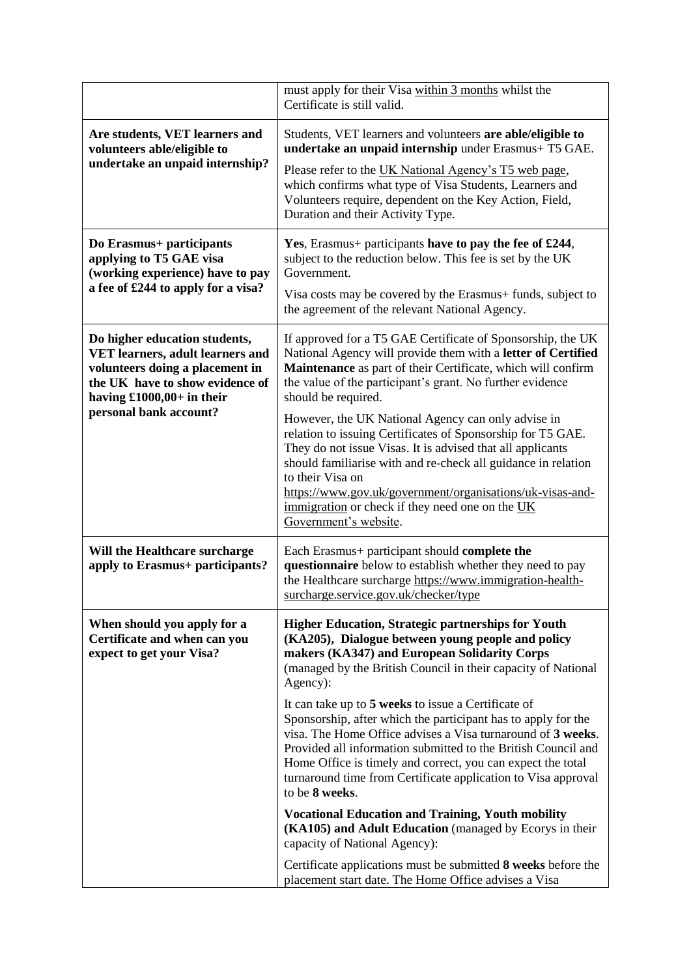|                                                                                                                                                                                                  | must apply for their Visa within 3 months whilst the<br>Certificate is still valid.                                                                                                                                                                                                                                                                                                                           |
|--------------------------------------------------------------------------------------------------------------------------------------------------------------------------------------------------|---------------------------------------------------------------------------------------------------------------------------------------------------------------------------------------------------------------------------------------------------------------------------------------------------------------------------------------------------------------------------------------------------------------|
| Are students, VET learners and<br>volunteers able/eligible to<br>undertake an unpaid internship?                                                                                                 | Students, VET learners and volunteers are able/eligible to<br>undertake an unpaid internship under Erasmus+ T5 GAE.                                                                                                                                                                                                                                                                                           |
|                                                                                                                                                                                                  | Please refer to the UK National Agency's T5 web page,<br>which confirms what type of Visa Students, Learners and<br>Volunteers require, dependent on the Key Action, Field,<br>Duration and their Activity Type.                                                                                                                                                                                              |
| Do Erasmus+ participants<br>applying to T5 GAE visa<br>(working experience) have to pay<br>a fee of £244 to apply for a visa?                                                                    | Yes, Erasmus+ participants have to pay the fee of £244,<br>subject to the reduction below. This fee is set by the UK<br>Government.<br>Visa costs may be covered by the Erasmus+ funds, subject to                                                                                                                                                                                                            |
|                                                                                                                                                                                                  | the agreement of the relevant National Agency.                                                                                                                                                                                                                                                                                                                                                                |
| Do higher education students,<br>VET learners, adult learners and<br>volunteers doing a placement in<br>the UK have to show evidence of<br>having $£1000,00+$ in their<br>personal bank account? | If approved for a T5 GAE Certificate of Sponsorship, the UK<br>National Agency will provide them with a letter of Certified<br>Maintenance as part of their Certificate, which will confirm<br>the value of the participant's grant. No further evidence<br>should be required.                                                                                                                               |
|                                                                                                                                                                                                  | However, the UK National Agency can only advise in<br>relation to issuing Certificates of Sponsorship for T5 GAE.<br>They do not issue Visas. It is advised that all applicants<br>should familiarise with and re-check all guidance in relation<br>to their Visa on<br>https://www.gov.uk/government/organisations/uk-visas-and-<br>immigration or check if they need one on the UK<br>Government's website. |
| Will the Healthcare surcharge<br>apply to Erasmus+ participants?                                                                                                                                 | Each Erasmus+ participant should complete the<br>questionnaire below to establish whether they need to pay<br>the Healthcare surcharge https://www.immigration-health-<br>surcharge.service.gov.uk/checker/type                                                                                                                                                                                               |
| When should you apply for a<br>Certificate and when can you<br>expect to get your Visa?                                                                                                          | <b>Higher Education, Strategic partnerships for Youth</b><br>(KA205), Dialogue between young people and policy<br>makers (KA347) and European Solidarity Corps<br>(managed by the British Council in their capacity of National<br>Agency):                                                                                                                                                                   |
|                                                                                                                                                                                                  | It can take up to 5 weeks to issue a Certificate of<br>Sponsorship, after which the participant has to apply for the<br>visa. The Home Office advises a Visa turnaround of 3 weeks.<br>Provided all information submitted to the British Council and<br>Home Office is timely and correct, you can expect the total<br>turnaround time from Certificate application to Visa approval<br>to be 8 weeks.        |
|                                                                                                                                                                                                  | <b>Vocational Education and Training, Youth mobility</b><br>(KA105) and Adult Education (managed by Ecorys in their<br>capacity of National Agency):                                                                                                                                                                                                                                                          |
|                                                                                                                                                                                                  | Certificate applications must be submitted 8 weeks before the<br>placement start date. The Home Office advises a Visa                                                                                                                                                                                                                                                                                         |